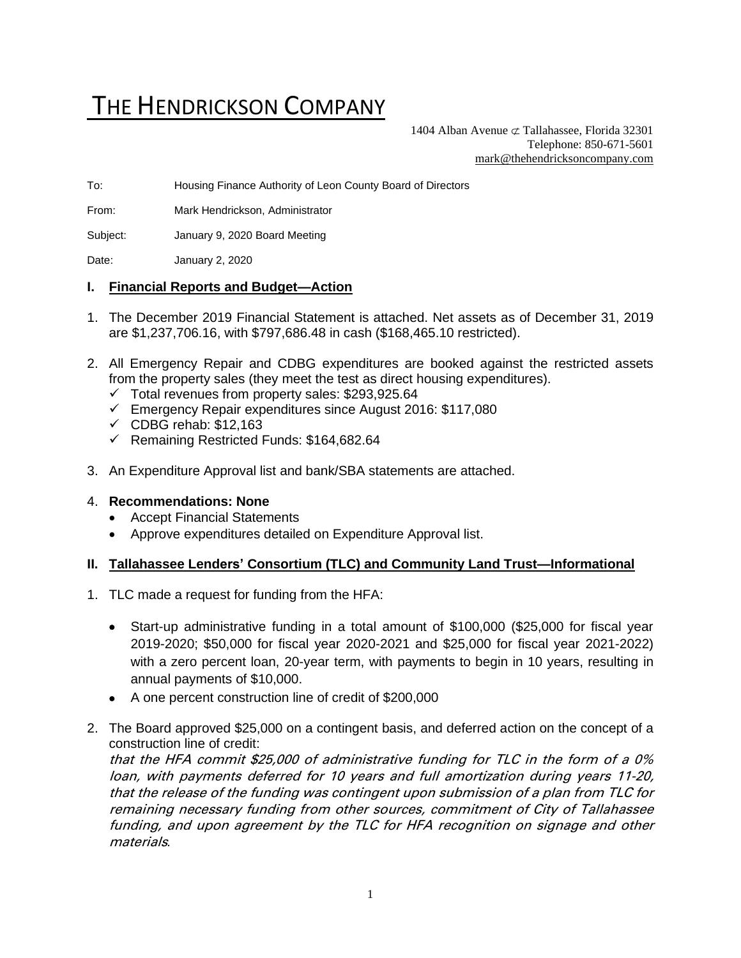# THE HENDRICKSON COMPANY

1404 Alban Avenue  $\sigma$  Tallahassee, Florida 32301 Telephone: 850-671-5601 [mark@thehendricksoncompany.com](mailto:mark@thehendricksoncompany.com)

To: Housing Finance Authority of Leon County Board of Directors

From: Mark Hendrickson, Administrator

Subject: January 9, 2020 Board Meeting

Date: January 2, 2020

#### **I. Financial Reports and Budget—Action**

- 1. The December 2019 Financial Statement is attached. Net assets as of December 31, 2019 are \$1,237,706.16, with \$797,686.48 in cash (\$168,465.10 restricted).
- 2. All Emergency Repair and CDBG expenditures are booked against the restricted assets from the property sales (they meet the test as direct housing expenditures).
	- $\checkmark$  Total revenues from property sales: \$293,925.64
	- ✓ Emergency Repair expenditures since August 2016: \$117,080
	- $\checkmark$  CDBG rehab: \$12,163
	- ✓ Remaining Restricted Funds: \$164,682.64
- 3. An Expenditure Approval list and bank/SBA statements are attached.

#### 4. **Recommendations: None**

- Accept Financial Statements
- Approve expenditures detailed on Expenditure Approval list.

#### **II. Tallahassee Lenders' Consortium (TLC) and Community Land Trust—Informational**

- 1. TLC made a request for funding from the HFA:
	- Start-up administrative funding in a total amount of \$100,000 (\$25,000 for fiscal year 2019-2020; \$50,000 for fiscal year 2020-2021 and \$25,000 for fiscal year 2021-2022) with a zero percent loan, 20-year term, with payments to begin in 10 years, resulting in annual payments of \$10,000.
	- A one percent construction line of credit of \$200,000
- 2. The Board approved \$25,000 on a contingent basis, and deferred action on the concept of a construction line of credit:

that the HFA commit \$25,000 of administrative funding for TLC in the form of a 0% loan, with payments deferred for 10 years and full amortization during years 11-20, that the release of the funding was contingent upon submission of a plan from TLC for remaining necessary funding from other sources, commitment of City of Tallahassee funding, and upon agreement by the TLC for HFA recognition on signage and other materials*.*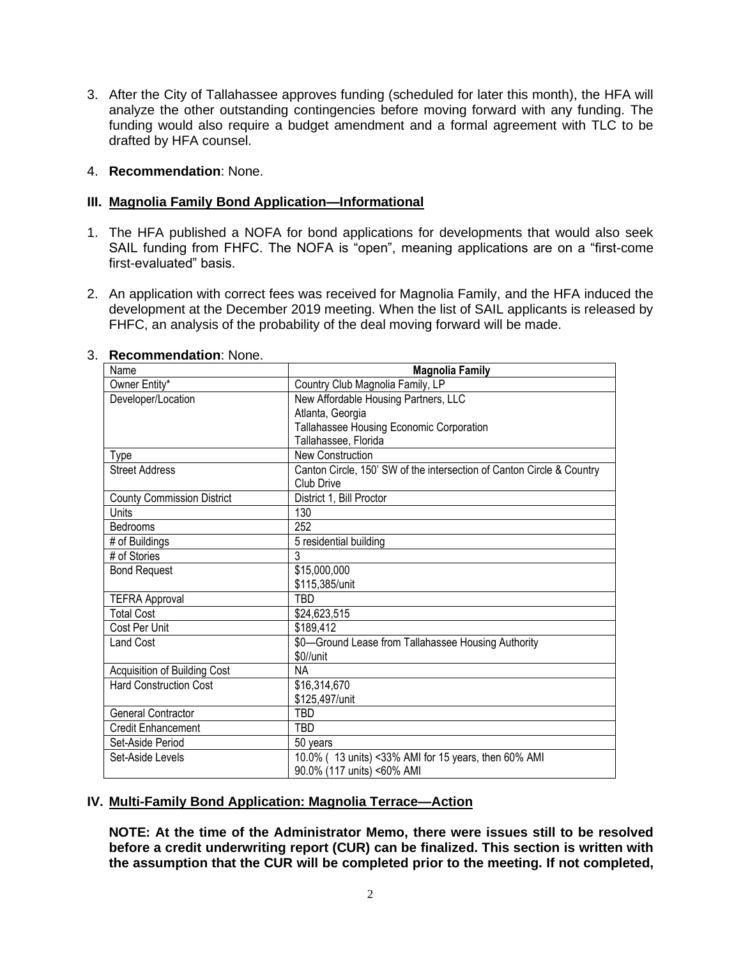3. After the City of Tallahassee approves funding (scheduled for later this month), the HFA will analyze the other outstanding contingencies before moving forward with any funding. The funding would also require a budget amendment and a formal agreement with TLC to be drafted by HFA counsel.

#### 4. **Recommendation**: None.

#### **III. Magnolia Family Bond Application—Informational**

- 1. The HFA published a NOFA for bond applications for developments that would also seek SAIL funding from FHFC. The NOFA is "open", meaning applications are on a "first-come first-evaluated" basis.
- 2. An application with correct fees was received for Magnolia Family, and the HFA induced the development at the December 2019 meeting. When the list of SAIL applicants is released by FHFC, an analysis of the probability of the deal moving forward will be made.

| Name                              | <b>Magnolia Family</b>                                                |
|-----------------------------------|-----------------------------------------------------------------------|
| Owner Entity*                     | Country Club Magnolia Family, LP                                      |
| Developer/Location                | New Affordable Housing Partners, LLC                                  |
|                                   | Atlanta, Georgia                                                      |
|                                   | Tallahassee Housing Economic Corporation                              |
|                                   | Tallahassee, Florida                                                  |
| Type                              | <b>New Construction</b>                                               |
| <b>Street Address</b>             | Canton Circle, 150' SW of the intersection of Canton Circle & Country |
|                                   | Club Drive                                                            |
| <b>County Commission District</b> | District 1, Bill Proctor                                              |
| Units                             | 130                                                                   |
| Bedrooms                          | 252                                                                   |
| # of Buildings                    | 5 residential building                                                |
| # of Stories                      | 3                                                                     |
| <b>Bond Request</b>               | \$15,000,000                                                          |
|                                   | \$115,385/unit                                                        |
| <b>TEFRA Approval</b>             | TBD                                                                   |
| <b>Total Cost</b>                 | \$24,623,515                                                          |
| Cost Per Unit                     | \$189,412                                                             |
| Land Cost                         | \$0-Ground Lease from Tallahassee Housing Authority                   |
|                                   | \$0//unit                                                             |
| Acquisition of Building Cost      | NА                                                                    |
| <b>Hard Construction Cost</b>     | \$16,314,670                                                          |
|                                   | \$125,497/unit                                                        |
| General Contractor                | TBD                                                                   |
| Credit Enhancement                | <b>TBD</b>                                                            |
| Set-Aside Period                  | 50 years                                                              |
| Set-Aside Levels                  | 10.0% (13 units) <33% AMI for 15 years, then 60% AMI                  |
|                                   | 90.0% (117 units) <60% AMI                                            |

#### 3. **Recommendation**: None.

## **IV. Multi-Family Bond Application: Magnolia Terrace—Action**

**NOTE: At the time of the Administrator Memo, there were issues still to be resolved before a credit underwriting report (CUR) can be finalized. This section is written with the assumption that the CUR will be completed prior to the meeting. If not completed,**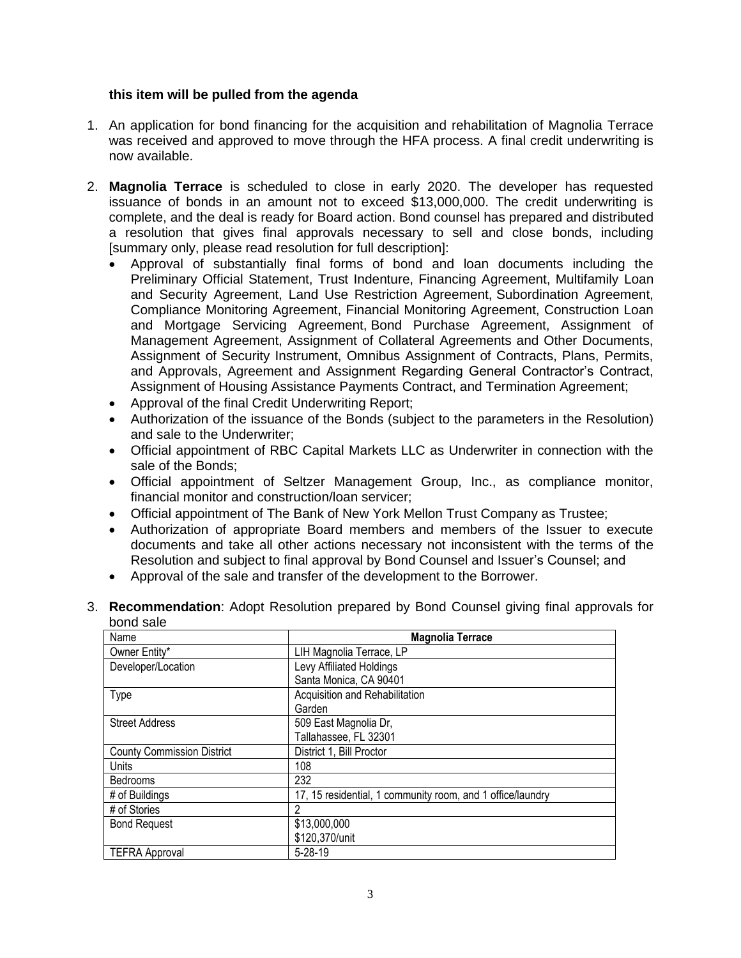#### **this item will be pulled from the agenda**

- 1. An application for bond financing for the acquisition and rehabilitation of Magnolia Terrace was received and approved to move through the HFA process. A final credit underwriting is now available.
- 2. **Magnolia Terrace** is scheduled to close in early 2020. The developer has requested issuance of bonds in an amount not to exceed \$13,000,000. The credit underwriting is complete, and the deal is ready for Board action. Bond counsel has prepared and distributed a resolution that gives final approvals necessary to sell and close bonds, including [summary only, please read resolution for full description]:
	- Approval of substantially final forms of bond and loan documents including the Preliminary Official Statement, Trust Indenture, Financing Agreement, Multifamily Loan and Security Agreement, Land Use Restriction Agreement, Subordination Agreement, Compliance Monitoring Agreement, Financial Monitoring Agreement, Construction Loan and Mortgage Servicing Agreement, Bond Purchase Agreement, Assignment of Management Agreement, Assignment of Collateral Agreements and Other Documents, Assignment of Security Instrument, Omnibus Assignment of Contracts, Plans, Permits, and Approvals, Agreement and Assignment Regarding General Contractor's Contract, Assignment of Housing Assistance Payments Contract, and Termination Agreement;
	- Approval of the final Credit Underwriting Report;
	- Authorization of the issuance of the Bonds (subject to the parameters in the Resolution) and sale to the Underwriter;
	- Official appointment of RBC Capital Markets LLC as Underwriter in connection with the sale of the Bonds;
	- Official appointment of Seltzer Management Group, Inc., as compliance monitor, financial monitor and construction/loan servicer;
	- Official appointment of The Bank of New York Mellon Trust Company as Trustee;
	- Authorization of appropriate Board members and members of the Issuer to execute documents and take all other actions necessary not inconsistent with the terms of the Resolution and subject to final approval by Bond Counsel and Issuer's Counsel; and
	- Approval of the sale and transfer of the development to the Borrower.
- 3. **Recommendation**: Adopt Resolution prepared by Bond Counsel giving final approvals for bond sale

| Name                              | <b>Magnolia Terrace</b>                                    |
|-----------------------------------|------------------------------------------------------------|
| Owner Entity*                     | LIH Magnolia Terrace, LP                                   |
| Developer/Location                | <b>Levy Affiliated Holdings</b>                            |
|                                   | Santa Monica, CA 90401                                     |
| <b>Type</b>                       | Acquisition and Rehabilitation                             |
|                                   | Garden                                                     |
| <b>Street Address</b>             | 509 East Magnolia Dr,                                      |
|                                   | Tallahassee, FL 32301                                      |
| <b>County Commission District</b> | District 1, Bill Proctor                                   |
| Units                             | 108                                                        |
| <b>Bedrooms</b>                   | 232                                                        |
| # of Buildings                    | 17, 15 residential, 1 community room, and 1 office/laundry |
| # of Stories                      | 2                                                          |
| <b>Bond Request</b>               | \$13,000,000                                               |
|                                   | \$120,370/unit                                             |
| <b>TEFRA Approval</b>             | $5 - 28 - 19$                                              |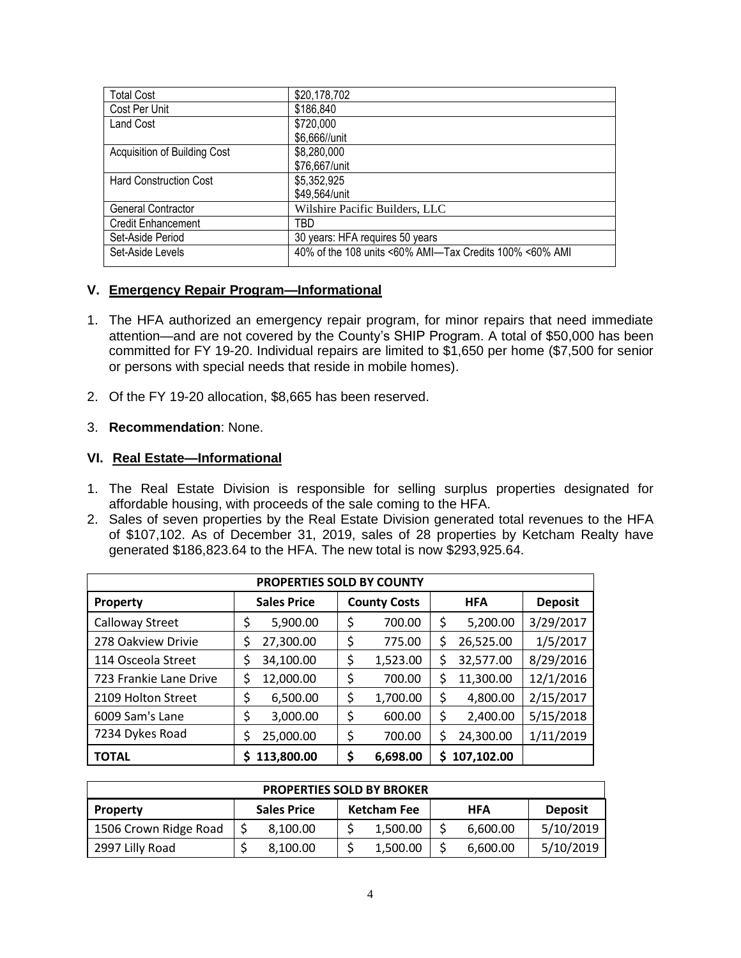| <b>Total Cost</b>             | \$20,178,702                                            |
|-------------------------------|---------------------------------------------------------|
| Cost Per Unit                 | \$186,840                                               |
| <b>Land Cost</b>              | \$720,000                                               |
|                               | \$6,666//unit                                           |
| Acquisition of Building Cost  | \$8,280,000                                             |
|                               | \$76,667/unit                                           |
| <b>Hard Construction Cost</b> | \$5,352,925                                             |
|                               | \$49,564/unit                                           |
| <b>General Contractor</b>     | Wilshire Pacific Builders, LLC                          |
| <b>Credit Enhancement</b>     | TBD                                                     |
| Set-Aside Period              | 30 years: HFA requires 50 years                         |
| Set-Aside Levels              | 40% of the 108 units <60% AMI-Tax Credits 100% <60% AMI |
|                               |                                                         |

#### **V. Emergency Repair Program—Informational**

- 1. The HFA authorized an emergency repair program, for minor repairs that need immediate attention—and are not covered by the County's SHIP Program. A total of \$50,000 has been committed for FY 19-20. Individual repairs are limited to \$1,650 per home (\$7,500 for senior or persons with special needs that reside in mobile homes).
- 2. Of the FY 19-20 allocation, \$8,665 has been reserved.

#### 3. **Recommendation**: None.

#### **VI. Real Estate—Informational**

- 1. The Real Estate Division is responsible for selling surplus properties designated for affordable housing, with proceeds of the sale coming to the HFA.
- 2. Sales of seven properties by the Real Estate Division generated total revenues to the HFA of \$107,102. As of December 31, 2019, sales of 28 properties by Ketcham Realty have generated \$186,823.64 to the HFA. The new total is now \$293,925.64.

| <b>PROPERTIES SOLD BY COUNTY</b> |                                           |                |                  |                |  |  |  |
|----------------------------------|-------------------------------------------|----------------|------------------|----------------|--|--|--|
| Property                         | <b>Sales Price</b><br><b>County Costs</b> |                | <b>HFA</b>       | <b>Deposit</b> |  |  |  |
| Calloway Street                  | \$<br>5,900.00                            | \$<br>700.00   | \$<br>5,200.00   | 3/29/2017      |  |  |  |
| 278 Oakview Drivie               | 27,300.00<br>\$                           | \$<br>775.00   | \$<br>26,525.00  | 1/5/2017       |  |  |  |
| 114 Osceola Street               | 34,100.00                                 | \$<br>1,523.00 | \$<br>32,577.00  | 8/29/2016      |  |  |  |
| 723 Frankie Lane Drive           | \$<br>12,000.00                           | \$<br>700.00   | \$<br>11,300.00  | 12/1/2016      |  |  |  |
| 2109 Holton Street               | \$<br>6,500.00                            | \$<br>1,700.00 | \$<br>4,800.00   | 2/15/2017      |  |  |  |
| 6009 Sam's Lane                  | \$<br>3,000.00                            | \$<br>600.00   | \$<br>2,400.00   | 5/15/2018      |  |  |  |
| 7234 Dykes Road                  | 25,000.00<br>\$                           | \$<br>700.00   | \$<br>24,300.00  | 1/11/2019      |  |  |  |
| <b>TOTAL</b>                     | 113,800.00<br>S                           | \$<br>6,698.00 | \$<br>107,102.00 |                |  |  |  |

| <b>PROPERTIES SOLD BY BROKER</b> |  |                    |  |                    |  |            |                |
|----------------------------------|--|--------------------|--|--------------------|--|------------|----------------|
| Property                         |  | <b>Sales Price</b> |  | <b>Ketcham Fee</b> |  | <b>HFA</b> | <b>Deposit</b> |
| 1506 Crown Ridge Road            |  | 8,100.00           |  | 1,500.00           |  | 6,600.00   | 5/10/2019      |
| 2997 Lilly Road                  |  | 8,100.00           |  | 1,500.00           |  | 6,600.00   | 5/10/2019      |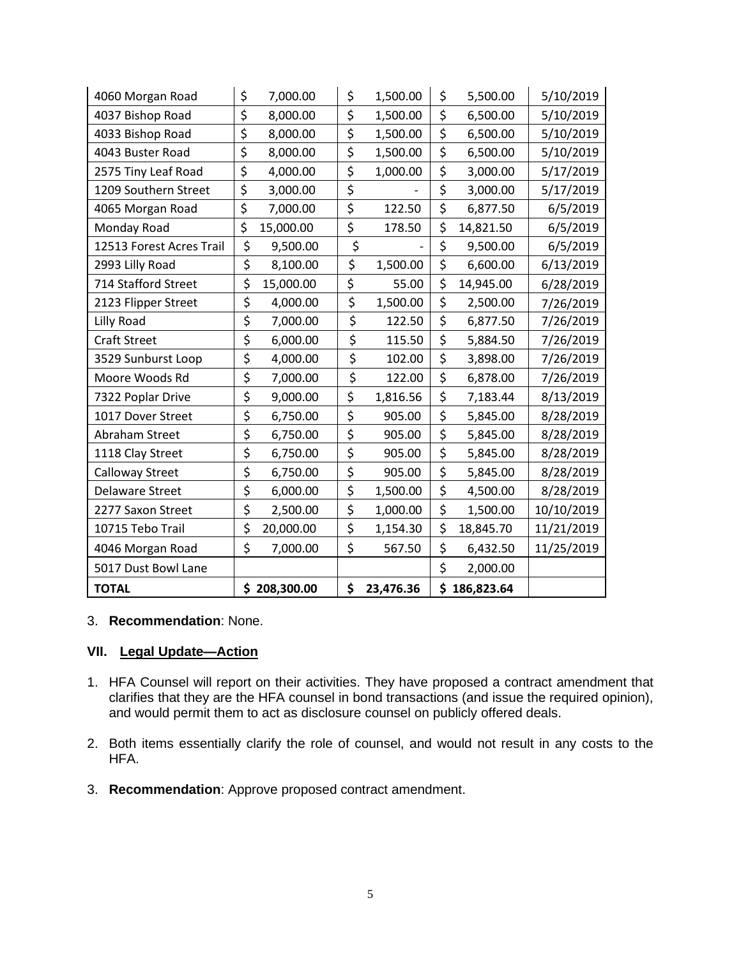| 4060 Morgan Road         | \$<br>7,000.00  | \$<br>1,500.00  | \$<br>5,500.00   | 5/10/2019  |
|--------------------------|-----------------|-----------------|------------------|------------|
| 4037 Bishop Road         | \$<br>8,000.00  | \$<br>1,500.00  | \$<br>6,500.00   | 5/10/2019  |
| 4033 Bishop Road         | \$<br>8,000.00  | \$<br>1,500.00  | \$<br>6,500.00   | 5/10/2019  |
| 4043 Buster Road         | \$<br>8,000.00  | \$<br>1,500.00  | \$<br>6,500.00   | 5/10/2019  |
| 2575 Tiny Leaf Road      | \$<br>4,000.00  | \$<br>1,000.00  | \$<br>3,000.00   | 5/17/2019  |
| 1209 Southern Street     | \$<br>3,000.00  | \$              | \$<br>3,000.00   | 5/17/2019  |
| 4065 Morgan Road         | \$<br>7,000.00  | \$<br>122.50    | \$<br>6,877.50   | 6/5/2019   |
| Monday Road              | \$<br>15,000.00 | \$<br>178.50    | \$<br>14,821.50  | 6/5/2019   |
| 12513 Forest Acres Trail | \$<br>9,500.00  | \$              | \$<br>9,500.00   | 6/5/2019   |
| 2993 Lilly Road          | \$<br>8,100.00  | \$<br>1,500.00  | \$<br>6,600.00   | 6/13/2019  |
| 714 Stafford Street      | \$<br>15,000.00 | \$<br>55.00     | \$<br>14,945.00  | 6/28/2019  |
| 2123 Flipper Street      | \$<br>4,000.00  | \$<br>1,500.00  | \$<br>2,500.00   | 7/26/2019  |
| Lilly Road               | \$<br>7,000.00  | \$<br>122.50    | \$<br>6,877.50   | 7/26/2019  |
| <b>Craft Street</b>      | \$<br>6,000.00  | \$<br>115.50    | \$<br>5,884.50   | 7/26/2019  |
| 3529 Sunburst Loop       | \$<br>4,000.00  | \$<br>102.00    | \$<br>3,898.00   | 7/26/2019  |
| Moore Woods Rd           | \$<br>7,000.00  | \$<br>122.00    | \$<br>6,878.00   | 7/26/2019  |
| 7322 Poplar Drive        | \$<br>9,000.00  | \$<br>1,816.56  | \$<br>7,183.44   | 8/13/2019  |
| 1017 Dover Street        | \$<br>6,750.00  | \$<br>905.00    | \$<br>5,845.00   | 8/28/2019  |
| Abraham Street           | \$<br>6,750.00  | \$<br>905.00    | \$<br>5,845.00   | 8/28/2019  |
| 1118 Clay Street         | \$<br>6,750.00  | \$<br>905.00    | \$<br>5,845.00   | 8/28/2019  |
| <b>Calloway Street</b>   | \$<br>6,750.00  | \$<br>905.00    | \$<br>5,845.00   | 8/28/2019  |
| Delaware Street          | \$<br>6,000.00  | \$<br>1,500.00  | \$<br>4,500.00   | 8/28/2019  |
| 2277 Saxon Street        | \$<br>2,500.00  | \$<br>1,000.00  | \$<br>1,500.00   | 10/10/2019 |
| 10715 Tebo Trail         | \$<br>20,000.00 | \$<br>1,154.30  | \$<br>18,845.70  | 11/21/2019 |
| 4046 Morgan Road         | \$<br>7,000.00  | \$<br>567.50    | \$<br>6,432.50   | 11/25/2019 |
| 5017 Dust Bowl Lane      |                 |                 | \$<br>2,000.00   |            |
| <b>TOTAL</b>             | \$208,300.00    | \$<br>23,476.36 | \$<br>186,823.64 |            |

#### 3. **Recommendation**: None.

## **VII. Legal Update—Action**

- 1. HFA Counsel will report on their activities. They have proposed a contract amendment that clarifies that they are the HFA counsel in bond transactions (and issue the required opinion), and would permit them to act as disclosure counsel on publicly offered deals.
- 2. Both items essentially clarify the role of counsel, and would not result in any costs to the HFA.
- 3. **Recommendation**: Approve proposed contract amendment.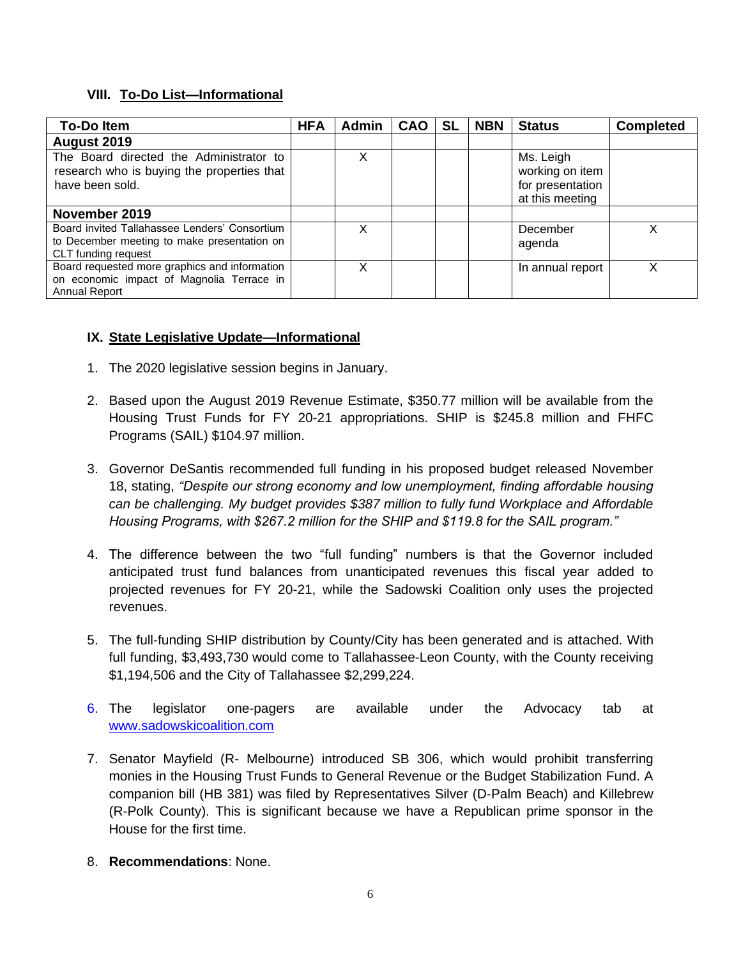## **VIII. To-Do List—Informational**

| <b>To-Doltem</b>                                                                                                    | <b>HFA</b> | <b>Admin</b> | <b>CAO</b> | <b>SL</b> | <b>NBN</b> | <b>Status</b>                                                       | <b>Completed</b> |
|---------------------------------------------------------------------------------------------------------------------|------------|--------------|------------|-----------|------------|---------------------------------------------------------------------|------------------|
| August 2019                                                                                                         |            |              |            |           |            |                                                                     |                  |
| The Board directed the Administrator to<br>research who is buying the properties that<br>have been sold.            |            | X            |            |           |            | Ms. Leigh<br>working on item<br>for presentation<br>at this meeting |                  |
| November 2019                                                                                                       |            |              |            |           |            |                                                                     |                  |
| Board invited Tallahassee Lenders' Consortium<br>to December meeting to make presentation on<br>CLT funding request |            | X            |            |           |            | December<br>agenda                                                  | X                |
| Board requested more graphics and information<br>on economic impact of Magnolia Terrace in<br><b>Annual Report</b>  |            | x            |            |           |            | In annual report                                                    | х                |

## **IX. State Legislative Update—Informational**

- 1. The 2020 legislative session begins in January.
- 2. Based upon the August 2019 Revenue Estimate, \$350.77 million will be available from the Housing Trust Funds for FY 20-21 appropriations. SHIP is \$245.8 million and FHFC Programs (SAIL) \$104.97 million.
- 3. Governor DeSantis recommended full funding in his proposed budget released November 18, stating, *"Despite our strong economy and low unemployment, finding affordable housing can be challenging. My budget provides \$387 million to fully fund Workplace and Affordable Housing Programs, with \$267.2 million for the SHIP and \$119.8 for the SAIL program."*
- 4. The difference between the two "full funding" numbers is that the Governor included anticipated trust fund balances from unanticipated revenues this fiscal year added to projected revenues for FY 20-21, while the Sadowski Coalition only uses the projected revenues.
- 5. The full-funding SHIP distribution by County/City has been generated and is attached. With full funding, \$3,493,730 would come to Tallahassee-Leon County, with the County receiving \$1,194,506 and the City of Tallahassee \$2,299,224.
- 6. The legislator one-pagers are available under the Advocacy tab at [www.sadowskicoalition.com](http://www.sadowskicoalition.com/)
- 7. Senator Mayfield (R- Melbourne) introduced SB 306, which would prohibit transferring monies in the Housing Trust Funds to General Revenue or the Budget Stabilization Fund. A companion bill (HB 381) was filed by Representatives Silver (D-Palm Beach) and Killebrew (R-Polk County). This is significant because we have a Republican prime sponsor in the House for the first time.
- 8. **Recommendations**: None.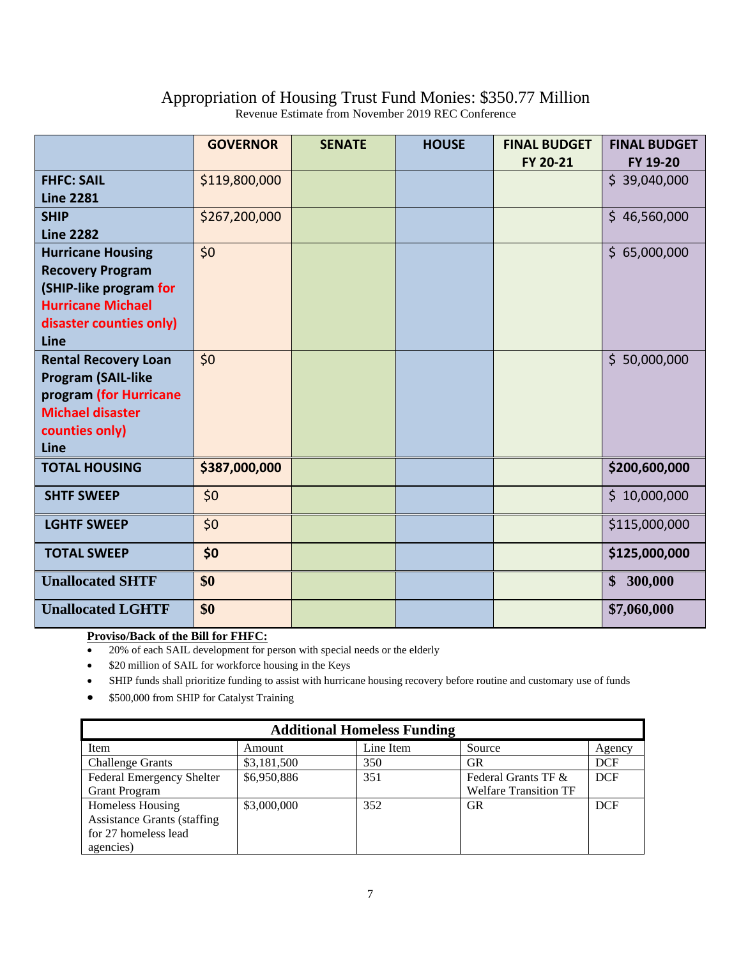## Appropriation of Housing Trust Fund Monies: \$350.77 Million

|                                                                                                                                              | <b>GOVERNOR</b> | <b>SENATE</b> | <b>HOUSE</b> | <b>FINAL BUDGET</b><br>FY 20-21 | <b>FINAL BUDGET</b><br>FY 19-20 |
|----------------------------------------------------------------------------------------------------------------------------------------------|-----------------|---------------|--------------|---------------------------------|---------------------------------|
| <b>FHFC: SAIL</b><br><b>Line 2281</b>                                                                                                        | \$119,800,000   |               |              |                                 | \$39,040,000                    |
| <b>SHIP</b><br><b>Line 2282</b>                                                                                                              | \$267,200,000   |               |              |                                 | \$46,560,000                    |
| <b>Hurricane Housing</b><br><b>Recovery Program</b><br>(SHIP-like program for<br><b>Hurricane Michael</b><br>disaster counties only)<br>Line | \$0             |               |              |                                 | \$65,000,000                    |
| <b>Rental Recovery Loan</b><br><b>Program (SAIL-like</b><br>program (for Hurricane<br><b>Michael disaster</b><br>counties only)<br>Line      | \$0             |               |              |                                 | \$50,000,000                    |
| <b>TOTAL HOUSING</b>                                                                                                                         | \$387,000,000   |               |              |                                 | \$200,600,000                   |
| <b>SHTF SWEEP</b>                                                                                                                            | \$0             |               |              |                                 | \$10,000,000                    |
| <b>LGHTF SWEEP</b>                                                                                                                           | \$0             |               |              |                                 | \$115,000,000                   |
| <b>TOTAL SWEEP</b>                                                                                                                           | \$0             |               |              |                                 | \$125,000,000                   |
| <b>Unallocated SHTF</b>                                                                                                                      | \$0             |               |              |                                 | \$300,000                       |
| <b>Unallocated LGHTF</b>                                                                                                                     | \$0             |               |              |                                 | \$7,060,000                     |

Revenue Estimate from November 2019 REC Conference

#### **Proviso/Back of the Bill for FHFC:**

• 20% of each SAIL development for person with special needs or the elderly

• \$20 million of SAIL for workforce housing in the Keys

• SHIP funds shall prioritize funding to assist with hurricane housing recovery before routine and customary use of funds

• \$500,000 from SHIP for Catalyst Training

| <b>Additional Homeless Funding</b> |             |           |                              |            |  |  |  |  |
|------------------------------------|-------------|-----------|------------------------------|------------|--|--|--|--|
| Item                               | Amount      | Line Item | Source                       | Agency     |  |  |  |  |
| <b>Challenge Grants</b>            | \$3,181,500 | 350       | GR                           | <b>DCF</b> |  |  |  |  |
| <b>Federal Emergency Shelter</b>   | \$6,950,886 | 351       | Federal Grants TF &          | <b>DCF</b> |  |  |  |  |
| <b>Grant Program</b>               |             |           | <b>Welfare Transition TF</b> |            |  |  |  |  |
| <b>Homeless Housing</b>            | \$3,000,000 | 352       | GR                           | <b>DCF</b> |  |  |  |  |
| <b>Assistance Grants (staffing</b> |             |           |                              |            |  |  |  |  |
| for 27 homeless lead               |             |           |                              |            |  |  |  |  |
| agencies)                          |             |           |                              |            |  |  |  |  |